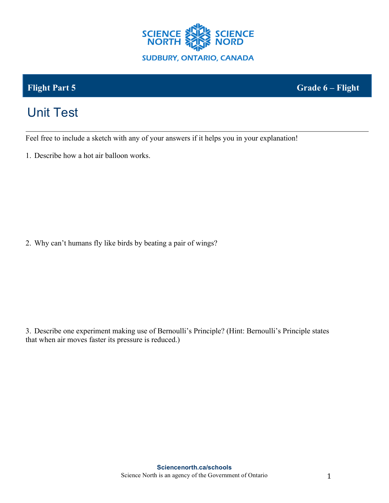

**Flight Part 5 Grade 6 – Flight**

## Unit Test

Feel free to include a sketch with any of your answers if it helps you in your explanation!

1. Describe how a hot air balloon works.

2. Why can't humans fly like birds by beating a pair of wings?

3. Describe one experiment making use of Bernoulli's Principle? (Hint: Bernoulli's Principle states that when air moves faster its pressure is reduced.)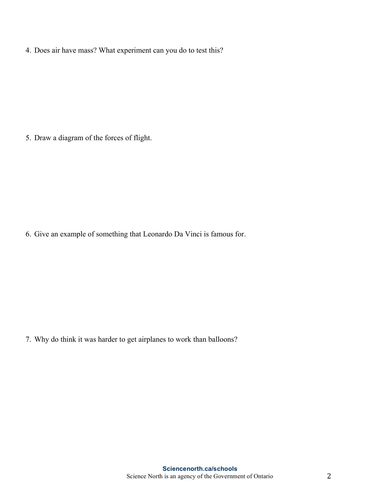4. Does air have mass? What experiment can you do to test this?

5. Draw a diagram of the forces of flight.

6. Give an example of something that Leonardo Da Vinci is famous for.

7. Why do think it was harder to get airplanes to work than balloons?